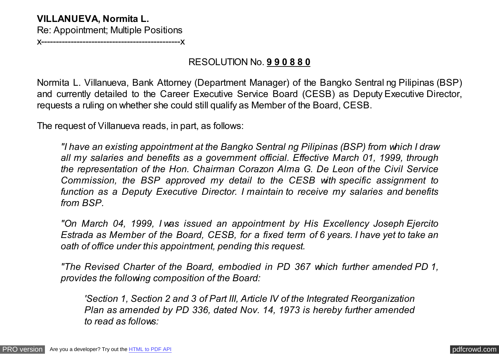## **VILLANUEVA, Normita L.**

Re: Appointment; Multiple Positions

x-----------------------------------------------x

# RESOLUTION No. **9 9 0 8 8 0**

Normita L. Villanueva, Bank Attorney (Department Manager) of the Bangko Sentral ng Pilipinas (BSP) and currently detailed to the Career Executive Service Board (CESB) as Deputy Executive Director, requests a ruling on whether she could still qualify as Member of the Board, CESB.

The request of Villanueva reads, in part, as follows:

*"I have an existing appointment at the Bangko Sentral ng Pilipinas (BSP) from which I draw all my salaries and benefits as a government official. Effective March 01, 1999, through the representation of the Hon. Chairman Corazon Alma G. De Leon of the Civil Service Commission, the BSP approved my detail to the CESB with specific assignment to function as a Deputy Executive Director. I maintain to receive my salaries and benefits from BSP.*

*"On March 04, 1999, I was issued an appointment by His Excellency Joseph Ejercito Estrada as Member of the Board, CESB, for a fixed term of 6 years. I have yet to take an oath of office under this appointment, pending this request.*

*"The Revised Charter of the Board, embodied in PD 367 which further amended PD 1, provides the following composition of the Board:*

*'Section 1, Section 2 and 3 of Part III, Article IV of the Integrated Reorganization Plan as amended by PD 336, dated Nov. 14, 1973 is hereby further amended to read as follows:*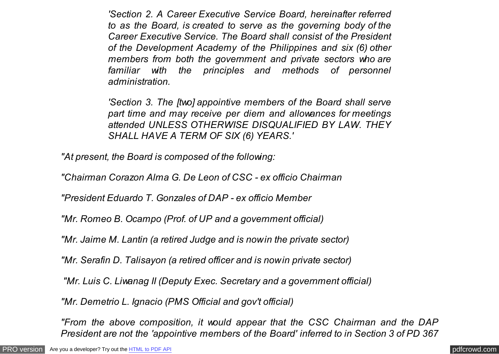*'Section 2. A Career Executive Service Board, hereinafter referred to as the Board, is created to serve as the governing body of the Career Executive Service. The Board shall consist of the President of the Development Academy of the Philippines and six (6) other members from both the government and private sectors who are familiar with the principles and methods of personnel administration.*

*'Section 3. The [two] appointive members of the Board shall serve part time and may receive per diem and allowances for meetings attended UNLESS OTHERWISE DISQUALIFIED BY LAW. THEY SHALL HAVE A TERM OF SIX (6) YEARS.'*

*"At present, the Board is composed of the following:*

*"Chairman Corazon Alma G. De Leon of CSC - ex officio Chairman*

*"President Eduardo T. Gonzales of DAP - ex officio Member*

*"Mr. Romeo B. Ocampo (Prof. of UP and a government official)*

*"Mr. Jaime M. Lantin (a retired Judge and is now in the private sector)*

*"Mr. Serafin D. Talisayon (a retired officer and is now in private sector)*

*"Mr. Luis C. Liwanag II (Deputy Exec. Secretary and a government official)*

*"Mr. Demetrio L. Ignacio (PMS Official and gov't official)*

*"From the above composition, it would appear that the CSC Chairman and the DAP President are not the 'appointive members of the Board' inferred to in Section 3 of PD 367*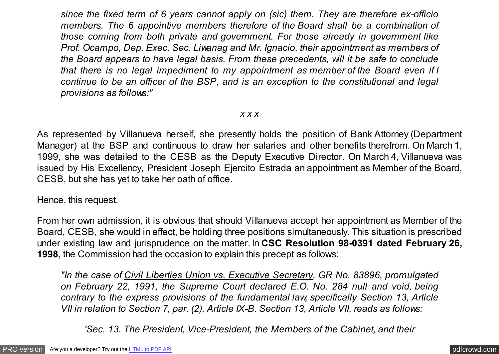*since the fixed term of 6 years cannot apply on (sic) them. They are therefore ex-officio members. The 6 appointive members therefore of the Board shall be a combination of those coming from both private and government. For those already in government like Prof. Ocampo, Dep. Exec. Sec. Liwanag and Mr. Ignacio, their appointment as members of the Board appears to have legal basis. From these precedents, will it be safe to conclude that there is no legal impediment to my appointment as member of the Board even if I continue to be an officer of the BSP, and is an exception to the constitutional and legal provisions as follows:"*

### *x x x*

As represented by Villanueva herself, she presently holds the position of Bank Attorney (Department Manager) at the BSP and continuous to draw her salaries and other benefits therefrom. On March 1, 1999, she was detailed to the CESB as the Deputy Executive Director. On March 4, Villanueva was issued by His Excellency, President Joseph Ejercito Estrada an appointment as Member of the Board, CESB, but she has yet to take her oath of office.

Hence, this request.

From her own admission, it is obvious that should Villanueva accept her appointment as Member of the Board, CESB, she would in effect, be holding three positions simultaneously. This situation is prescribed under existing law and jurisprudence on the matter. In **CSC Resolution 98-0391 dated February 26, 1998**, the Commission had the occasion to explain this precept as follows:

*"In the case of Civil Liberties Union vs. Executive Secretary, GR No. 83896, promulgated on February 22, 1991, the Supreme Court declared E.O. No. 284 null and void, being contrary to the express provisions of the fundamental law, specifically Section 13, Article VII in relation to Section 7, par. (2), Article IX-B. Section 13, Article VII, reads as follows:*

*'Sec. 13. The President, Vice-President, the Members of the Cabinet, and their*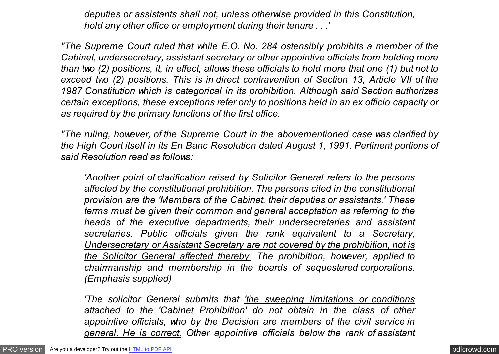*deputies or assistants shall not, unless otherwise provided in this Constitution, hold any other office or employment during their tenure . . .'*

*"The Supreme Court ruled that while E.O. No. 284 ostensibly prohibits a member of the Cabinet, undersecretary, assistant secretary or other appointive officials from holding more than two (2) positions, it, in effect, allows these officials to hold more that one (1) but not to exceed two (2) positions. This is in direct contravention of Section 13, Article VII of the 1987 Constitution which is categorical in its prohibition. Although said Section authorizes certain exceptions, these exceptions refer only to positions held in an ex officio capacity or as required by the primary functions of the first office.*

*"The ruling, however, of the Supreme Court in the abovementioned case was clarified by the High Court itself in its En Banc Resolution dated August 1, 1991. Pertinent portions of said Resolution read as follows:*

*'Another point of clarification raised by Solicitor General refers to the persons affected by the constitutional prohibition. The persons cited in the constitutional provision are the 'Members of the Cabinet, their deputies or assistants.' These terms must be given their common and general acceptation as referring to the heads of the executive departments, their undersecretaries and assistant secretaries. Public officials given the rank equivalent to a Secretary, Undersecretary or Assistant Secretary are not covered by the prohibition, not is the Solicitor General affected thereby. The prohibition, however, applied to chairmanship and membership in the boards of sequestered corporations. (Emphasis supplied)*

*'The solicitor General submits that 'the sweeping limitations or conditions attached to the 'Cabinet Prohibition' do not obtain in the class of other appointive officials, who by the Decision are members of the civil service in general. He is correct. Other appointive officials below the rank of assistant*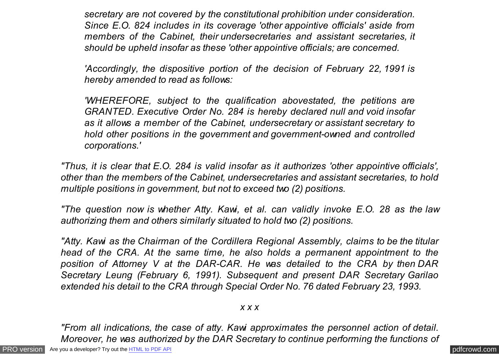*secretary are not covered by the constitutional prohibition under consideration. Since E.O. 824 includes in its coverage 'other appointive officials' aside from members of the Cabinet, their undersecretaries and assistant secretaries, it should be upheld insofar as these 'other appointive officials; are concerned.*

*'Accordingly, the dispositive portion of the decision of February 22, 1991 is hereby amended to read as follows:*

*'WHEREFORE, subject to the qualification abovestated, the petitions are GRANTED. Executive Order No. 284 is hereby declared null and void insofar as it allows a member of the Cabinet, undersecretary or assistant secretary to hold other positions in the government and government-owned and controlled corporations.'*

*"Thus, it is clear that E.O. 284 is valid insofar as it authorizes 'other appointive officials', other than the members of the Cabinet, undersecretaries and assistant secretaries, to hold multiple positions in government, but not to exceed two (2) positions.*

*"The question now is whether Atty. Kawi, et al. can validly invoke E.O. 28 as the law authorizing them and others similarly situated to hold two (2) positions.*

*"Atty. Kawi as the Chairman of the Cordillera Regional Assembly, claims to be the titular head of the CRA. At the same time, he also holds a permanent appointment to the position of Attorney V at the DAR-CAR. He was detailed to the CRA by then DAR Secretary Leung (February 6, 1991). Subsequent and present DAR Secretary Garilao extended his detail to the CRA through Special Order No. 76 dated February 23, 1993.*

## *x x x*

*"From all indications, the case of atty. Kawi approximates the personnel action of detail. Moreover, he was authorized by the DAR Secretary to continue performing the functions of*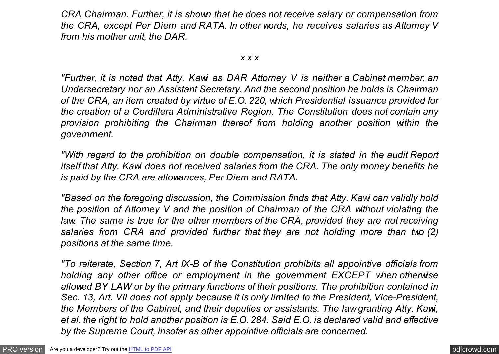*CRA Chairman. Further, it is shown that he does not receive salary or compensation from the CRA, except Per Diem and RATA. In other words, he receives salaries as Attorney V from his mother unit, the DAR.*

#### *x x x*

*"Further, it is noted that Atty. Kawi as DAR Attorney V is neither a Cabinet member, an Undersecretary nor an Assistant Secretary. And the second position he holds is Chairman of the CRA, an item created by virtue of E.O. 220, which Presidential issuance provided for the creation of a Cordillera Administrative Region. The Constitution does not contain any provision prohibiting the Chairman thereof from holding another position within the government.*

*"With regard to the prohibition on double compensation, it is stated in the audit Report itself that Atty. Kawi does not received salaries from the CRA. The only money benefits he is paid by the CRA are allowances, Per Diem and RATA.*

*"Based on the foregoing discussion, the Commission finds that Atty. Kawi can validly hold the position of Attorney V and the position of Chairman of the CRA without violating the law. The same is true for the other members of the CRA, provided they are not receiving salaries from CRA and provided further that they are not holding more than two (2) positions at the same time.*

*"To reiterate, Section 7, Art IX-B of the Constitution prohibits all appointive officials from holding any other office or employment in the government EXCEPT when otherwise allowed BY LAW or by the primary functions of their positions. The prohibition contained in Sec. 13, Art. VII does not apply because it is only limited to the President, Vice-President, the Members of the Cabinet, and their deputies or assistants. The law granting Atty. Kawi, et al. the right to hold another position is E.O. 284. Said E.O. is declared valid and effective by the Supreme Court, insofar as other appointive officials are concerned.*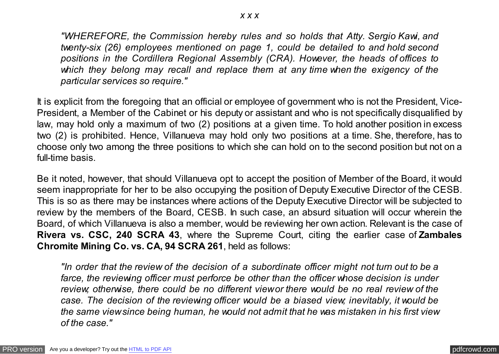*"WHEREFORE, the Commission hereby rules and so holds that Atty. Sergio Kawi, and twenty-six (26) employees mentioned on page 1, could be detailed to and hold second positions in the Cordillera Regional Assembly (CRA). However, the heads of offices to which they belong may recall and replace them at any time when the exigency of the particular services so require."*

It is explicit from the foregoing that an official or employee of government who is not the President, Vice-President, a Member of the Cabinet or his deputy or assistant and who is not specifically disqualified by law, may hold only a maximum of two (2) positions at a given time. To hold another position in excess two (2) is prohibited. Hence, Villanueva may hold only two positions at a time. She, therefore, has to choose only two among the three positions to which she can hold on to the second position but not on a full-time basis.

Be it noted, however, that should Villanueva opt to accept the position of Member of the Board, it would seem inappropriate for her to be also occupying the position of Deputy Executive Director of the CESB. This is so as there may be instances where actions of the Deputy Executive Director will be subjected to review by the members of the Board, CESB. In such case, an absurd situation will occur wherein the Board, of which Villanueva is also a member, would be reviewing her own action. Relevant is the case of **Rivera vs. CSC, 240 SCRA 43**, where the Supreme Court, citing the earlier case of **Zambales Chromite Mining Co. vs. CA, 94 SCRA 261**, held as follows:

*"In order that the review of the decision of a subordinate officer might not turn out to be a farce, the reviewing officer must perforce be other than the officer whose decision is under review; otherwise, there could be no different view or there would be no real review of the case. The decision of the reviewing officer would be a biased view; inevitably, it would be the same view since being human, he would not admit that he was mistaken in his first view of the case."*